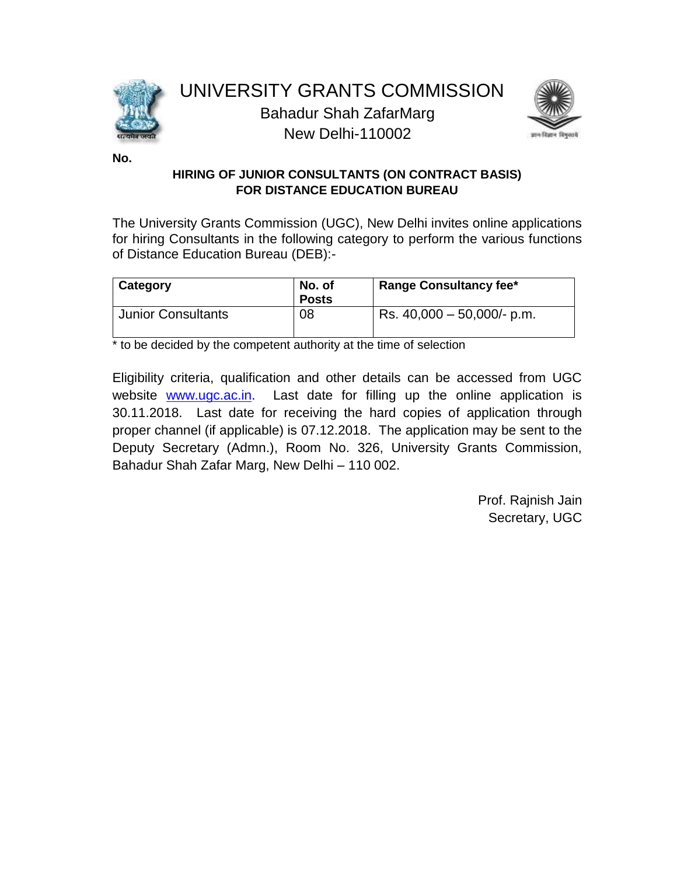



**No.**

### **HIRING OF JUNIOR CONSULTANTS (ON CONTRACT BASIS) FOR DISTANCE EDUCATION BUREAU**

The University Grants Commission (UGC), New Delhi invites online applications for hiring Consultants in the following category to perform the various functions of Distance Education Bureau (DEB):-

| <b>Category</b>           | No. of<br><b>Posts</b> | <b>Range Consultancy fee*</b> |
|---------------------------|------------------------|-------------------------------|
| <b>Junior Consultants</b> | 08                     | Rs. $40,000 - 50,000/6$ p.m.  |

\* to be decided by the competent authority at the time of selection

[Eligibility criteria, qualification and other details](#page-1-0) can be accessed from UGC website [www.ugc.ac.in.](http://www.ugc.ac.in/) Last date for filling up the online application is 30.11.2018. Last date for receiving the hard copies of application through proper channel (if applicable) is 07.12.2018. The application may be sent to the Deputy Secretary (Admn.), Room No. 326, University Grants Commission, Bahadur Shah Zafar Marg, New Delhi – 110 002.

> Prof. Rajnish Jain Secretary, UGC